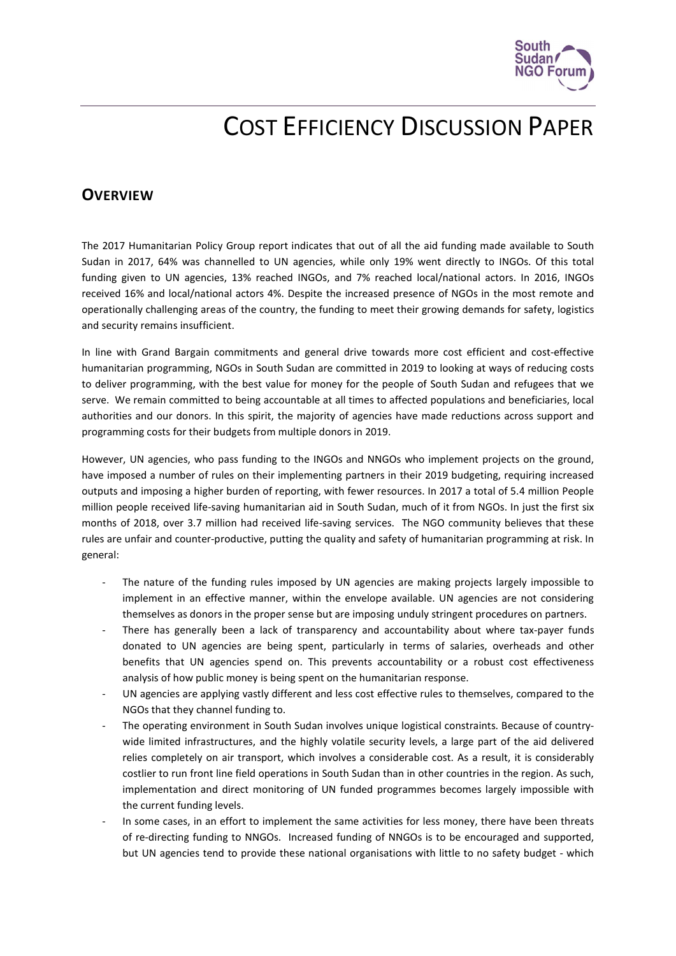

# COST EFFICIENCY DISCUSSION PAPER

# **OVERVIEW**

The 2017 Humanitarian Policy Group report indicates that out of all the aid funding made available to South Sudan in 2017, 64% was channelled to UN agencies, while only 19% went directly to INGOs. Of this total funding given to UN agencies, 13% reached INGOs, and 7% reached local/national actors. In 2016, INGOs received 16% and local/national actors 4%. Despite the increased presence of NGOs in the most remote and operationally challenging areas of the country, the funding to meet their growing demands for safety, logistics and security remains insufficient.

In line with Grand Bargain commitments and general drive towards more cost efficient and cost-effective humanitarian programming, NGOs in South Sudan are committed in 2019 to looking at ways of reducing costs to deliver programming, with the best value for money for the people of South Sudan and refugees that we serve. We remain committed to being accountable at all times to affected populations and beneficiaries, local authorities and our donors. In this spirit, the majority of agencies have made reductions across support and programming costs for their budgets from multiple donors in 2019.

However, UN agencies, who pass funding to the INGOs and NNGOs who implement projects on the ground, have imposed a number of rules on their implementing partners in their 2019 budgeting, requiring increased outputs and imposing a higher burden of reporting, with fewer resources. In 2017 a total of 5.4 million People million people received life-saving humanitarian aid in South Sudan, much of it from NGOs. In just the first six months of 2018, over 3.7 million had received life-saving services. The NGO community believes that these rules are unfair and counter-productive, putting the quality and safety of humanitarian programming at risk. In general:

- The nature of the funding rules imposed by UN agencies are making projects largely impossible to implement in an effective manner, within the envelope available. UN agencies are not considering themselves as donors in the proper sense but are imposing unduly stringent procedures on partners.
- There has generally been a lack of transparency and accountability about where tax-payer funds donated to UN agencies are being spent, particularly in terms of salaries, overheads and other benefits that UN agencies spend on. This prevents accountability or a robust cost effectiveness analysis of how public money is being spent on the humanitarian response.
- UN agencies are applying vastly different and less cost effective rules to themselves, compared to the NGOs that they channel funding to.
- The operating environment in South Sudan involves unique logistical constraints. Because of countrywide limited infrastructures, and the highly volatile security levels, a large part of the aid delivered relies completely on air transport, which involves a considerable cost. As a result, it is considerably costlier to run front line field operations in South Sudan than in other countries in the region. As such, implementation and direct monitoring of UN funded programmes becomes largely impossible with the current funding levels.
- In some cases, in an effort to implement the same activities for less money, there have been threats of re-directing funding to NNGOs. Increased funding of NNGOs is to be encouraged and supported, but UN agencies tend to provide these national organisations with little to no safety budget - which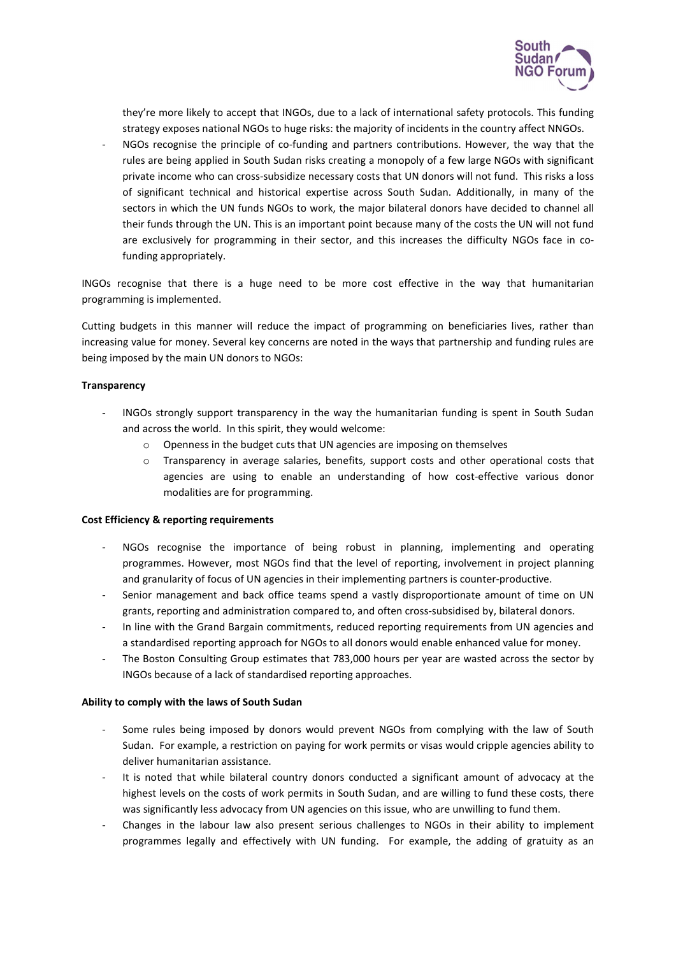

they're more likely to accept that INGOs, due to a lack of international safety protocols. This funding strategy exposes national NGOs to huge risks: the majority of incidents in the country affect NNGOs.

NGOs recognise the principle of co-funding and partners contributions. However, the way that the rules are being applied in South Sudan risks creating a monopoly of a few large NGOs with significant private income who can cross-subsidize necessary costs that UN donors will not fund. This risks a loss of significant technical and historical expertise across South Sudan. Additionally, in many of the sectors in which the UN funds NGOs to work, the major bilateral donors have decided to channel all their funds through the UN. This is an important point because many of the costs the UN will not fund are exclusively for programming in their sector, and this increases the difficulty NGOs face in cofunding appropriately.

INGOs recognise that there is a huge need to be more cost effective in the way that humanitarian programming is implemented.

Cutting budgets in this manner will reduce the impact of programming on beneficiaries lives, rather than increasing value for money. Several key concerns are noted in the ways that partnership and funding rules are being imposed by the main UN donors to NGOs:

## **Transparency**

- INGOs strongly support transparency in the way the humanitarian funding is spent in South Sudan and across the world. In this spirit, they would welcome:
	- o Openness in the budget cuts that UN agencies are imposing on themselves
	- o Transparency in average salaries, benefits, support costs and other operational costs that agencies are using to enable an understanding of how cost-effective various donor modalities are for programming.

## Cost Efficiency & reporting requirements

- NGOs recognise the importance of being robust in planning, implementing and operating programmes. However, most NGOs find that the level of reporting, involvement in project planning and granularity of focus of UN agencies in their implementing partners is counter-productive.
- Senior management and back office teams spend a vastly disproportionate amount of time on UN grants, reporting and administration compared to, and often cross-subsidised by, bilateral donors.
- In line with the Grand Bargain commitments, reduced reporting requirements from UN agencies and a standardised reporting approach for NGOs to all donors would enable enhanced value for money.
- The Boston Consulting Group estimates that 783,000 hours per year are wasted across the sector by INGOs because of a lack of standardised reporting approaches.

## Ability to comply with the laws of South Sudan

- Some rules being imposed by donors would prevent NGOs from complying with the law of South Sudan. For example, a restriction on paying for work permits or visas would cripple agencies ability to deliver humanitarian assistance.
- It is noted that while bilateral country donors conducted a significant amount of advocacy at the highest levels on the costs of work permits in South Sudan, and are willing to fund these costs, there was significantly less advocacy from UN agencies on this issue, who are unwilling to fund them.
- Changes in the labour law also present serious challenges to NGOs in their ability to implement programmes legally and effectively with UN funding. For example, the adding of gratuity as an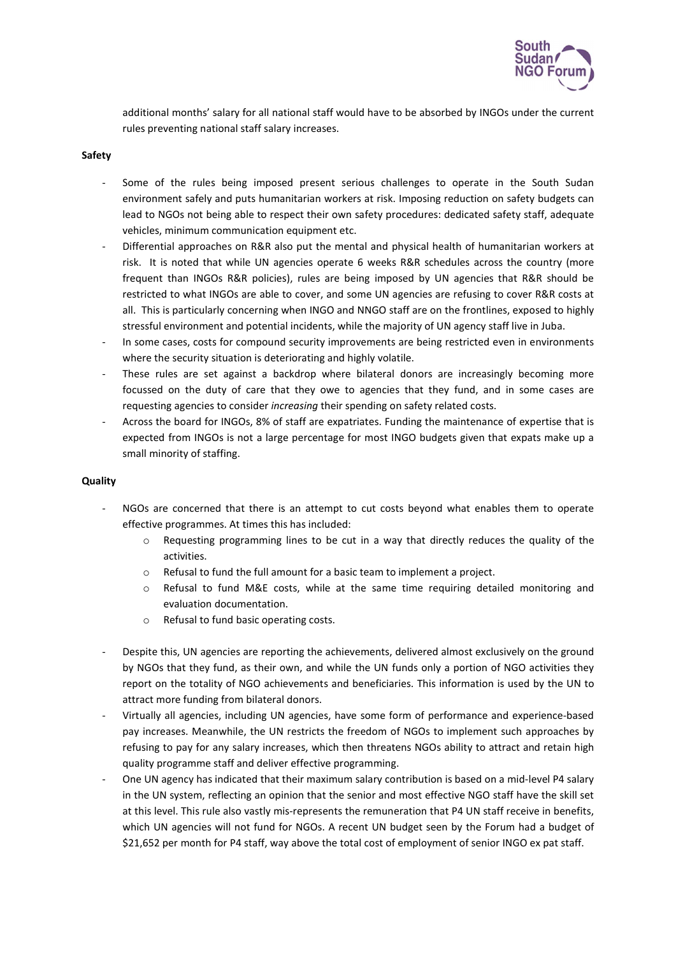

additional months' salary for all national staff would have to be absorbed by INGOs under the current rules preventing national staff salary increases.

## Safety

- Some of the rules being imposed present serious challenges to operate in the South Sudan environment safely and puts humanitarian workers at risk. Imposing reduction on safety budgets can lead to NGOs not being able to respect their own safety procedures: dedicated safety staff, adequate vehicles, minimum communication equipment etc.
- Differential approaches on R&R also put the mental and physical health of humanitarian workers at risk. It is noted that while UN agencies operate 6 weeks R&R schedules across the country (more frequent than INGOs R&R policies), rules are being imposed by UN agencies that R&R should be restricted to what INGOs are able to cover, and some UN agencies are refusing to cover R&R costs at all. This is particularly concerning when INGO and NNGO staff are on the frontlines, exposed to highly stressful environment and potential incidents, while the majority of UN agency staff live in Juba.
- In some cases, costs for compound security improvements are being restricted even in environments where the security situation is deteriorating and highly volatile.
- These rules are set against a backdrop where bilateral donors are increasingly becoming more focussed on the duty of care that they owe to agencies that they fund, and in some cases are requesting agencies to consider increasing their spending on safety related costs.
- Across the board for INGOs, 8% of staff are expatriates. Funding the maintenance of expertise that is expected from INGOs is not a large percentage for most INGO budgets given that expats make up a small minority of staffing.

#### **Quality**

- NGOs are concerned that there is an attempt to cut costs beyond what enables them to operate effective programmes. At times this has included:
	- o Requesting programming lines to be cut in a way that directly reduces the quality of the activities.
	- o Refusal to fund the full amount for a basic team to implement a project.
	- o Refusal to fund M&E costs, while at the same time requiring detailed monitoring and evaluation documentation.
	- o Refusal to fund basic operating costs.
- Despite this, UN agencies are reporting the achievements, delivered almost exclusively on the ground by NGOs that they fund, as their own, and while the UN funds only a portion of NGO activities they report on the totality of NGO achievements and beneficiaries. This information is used by the UN to attract more funding from bilateral donors.
- Virtually all agencies, including UN agencies, have some form of performance and experience-based pay increases. Meanwhile, the UN restricts the freedom of NGOs to implement such approaches by refusing to pay for any salary increases, which then threatens NGOs ability to attract and retain high quality programme staff and deliver effective programming.
- One UN agency has indicated that their maximum salary contribution is based on a mid-level P4 salary in the UN system, reflecting an opinion that the senior and most effective NGO staff have the skill set at this level. This rule also vastly mis-represents the remuneration that P4 UN staff receive in benefits, which UN agencies will not fund for NGOs. A recent UN budget seen by the Forum had a budget of \$21,652 per month for P4 staff, way above the total cost of employment of senior INGO ex pat staff.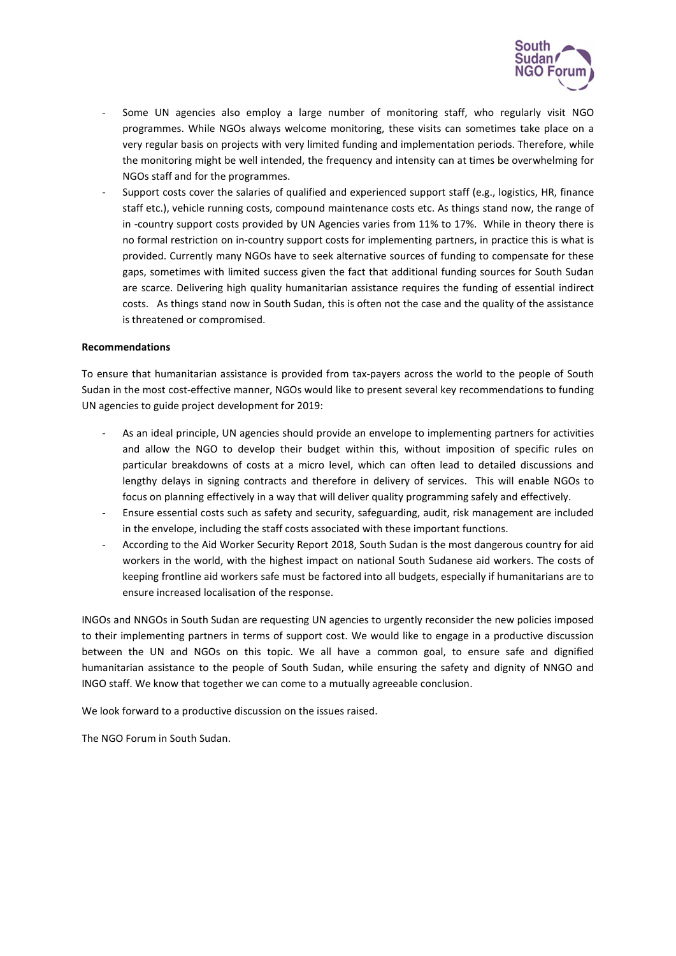

- Some UN agencies also employ a large number of monitoring staff, who regularly visit NGO programmes. While NGOs always welcome monitoring, these visits can sometimes take place on a very regular basis on projects with very limited funding and implementation periods. Therefore, while the monitoring might be well intended, the frequency and intensity can at times be overwhelming for NGOs staff and for the programmes.
- Support costs cover the salaries of qualified and experienced support staff (e.g., logistics, HR, finance staff etc.), vehicle running costs, compound maintenance costs etc. As things stand now, the range of in -country support costs provided by UN Agencies varies from 11% to 17%. While in theory there is no formal restriction on in-country support costs for implementing partners, in practice this is what is provided. Currently many NGOs have to seek alternative sources of funding to compensate for these gaps, sometimes with limited success given the fact that additional funding sources for South Sudan are scarce. Delivering high quality humanitarian assistance requires the funding of essential indirect costs. As things stand now in South Sudan, this is often not the case and the quality of the assistance is threatened or compromised.

## Recommendations

To ensure that humanitarian assistance is provided from tax-payers across the world to the people of South Sudan in the most cost-effective manner, NGOs would like to present several key recommendations to funding UN agencies to guide project development for 2019:

- As an ideal principle, UN agencies should provide an envelope to implementing partners for activities and allow the NGO to develop their budget within this, without imposition of specific rules on particular breakdowns of costs at a micro level, which can often lead to detailed discussions and lengthy delays in signing contracts and therefore in delivery of services. This will enable NGOs to focus on planning effectively in a way that will deliver quality programming safely and effectively.
- Ensure essential costs such as safety and security, safeguarding, audit, risk management are included in the envelope, including the staff costs associated with these important functions.
- According to the Aid Worker Security Report 2018, South Sudan is the most dangerous country for aid workers in the world, with the highest impact on national South Sudanese aid workers. The costs of keeping frontline aid workers safe must be factored into all budgets, especially if humanitarians are to ensure increased localisation of the response.

INGOs and NNGOs in South Sudan are requesting UN agencies to urgently reconsider the new policies imposed to their implementing partners in terms of support cost. We would like to engage in a productive discussion between the UN and NGOs on this topic. We all have a common goal, to ensure safe and dignified humanitarian assistance to the people of South Sudan, while ensuring the safety and dignity of NNGO and INGO staff. We know that together we can come to a mutually agreeable conclusion.

We look forward to a productive discussion on the issues raised.

The NGO Forum in South Sudan.